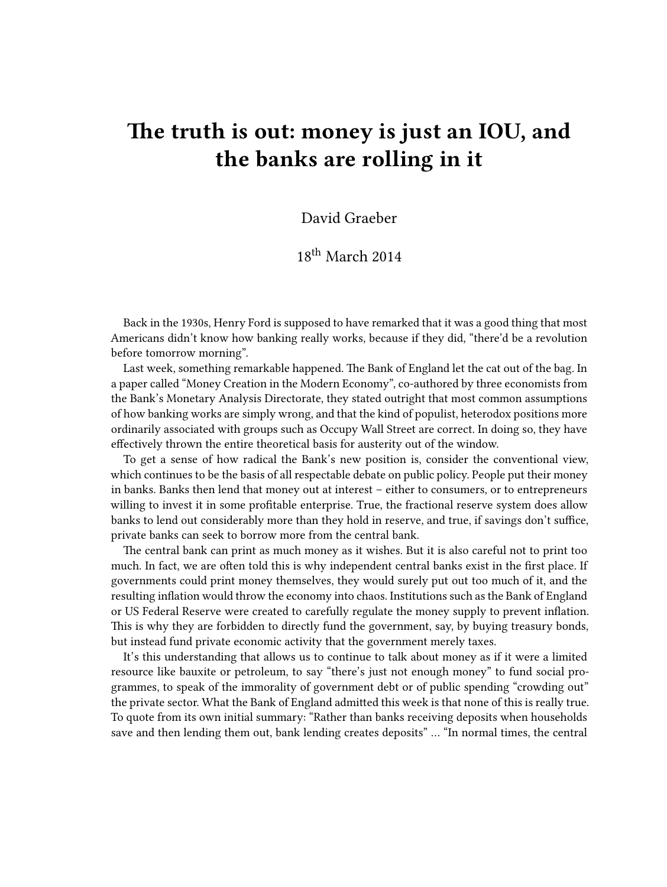## **The truth is out: money is just an IOU, and the banks are rolling in it**

## David Graeber

## 18<sup>th</sup> March 2014

Back in the 1930s, Henry Ford is supposed to have remarked that it was a good thing that most Americans didn't know how banking really works, because if they did, "there'd be a revolution before tomorrow morning".

Last week, something remarkable happened. The Bank of England let the cat out of the bag. In a paper called "Money Creation in the Modern Economy", co-authored by three economists from the Bank's Monetary Analysis Directorate, they stated outright that most common assumptions of how banking works are simply wrong, and that the kind of populist, heterodox positions more ordinarily associated with groups such as Occupy Wall Street are correct. In doing so, they have effectively thrown the entire theoretical basis for austerity out of the window.

To get a sense of how radical the Bank's new position is, consider the conventional view, which continues to be the basis of all respectable debate on public policy. People put their money in banks. Banks then lend that money out at interest – either to consumers, or to entrepreneurs willing to invest it in some profitable enterprise. True, the fractional reserve system does allow banks to lend out considerably more than they hold in reserve, and true, if savings don't suffice, private banks can seek to borrow more from the central bank.

The central bank can print as much money as it wishes. But it is also careful not to print too much. In fact, we are often told this is why independent central banks exist in the first place. If governments could print money themselves, they would surely put out too much of it, and the resulting inflation would throw the economy into chaos. Institutions such as the Bank of England or US Federal Reserve were created to carefully regulate the money supply to prevent inflation. This is why they are forbidden to directly fund the government, say, by buying treasury bonds, but instead fund private economic activity that the government merely taxes.

It's this understanding that allows us to continue to talk about money as if it were a limited resource like bauxite or petroleum, to say "there's just not enough money" to fund social programmes, to speak of the immorality of government debt or of public spending "crowding out" the private sector. What the Bank of England admitted this week is that none of this is really true. To quote from its own initial summary: "Rather than banks receiving deposits when households save and then lending them out, bank lending creates deposits" … "In normal times, the central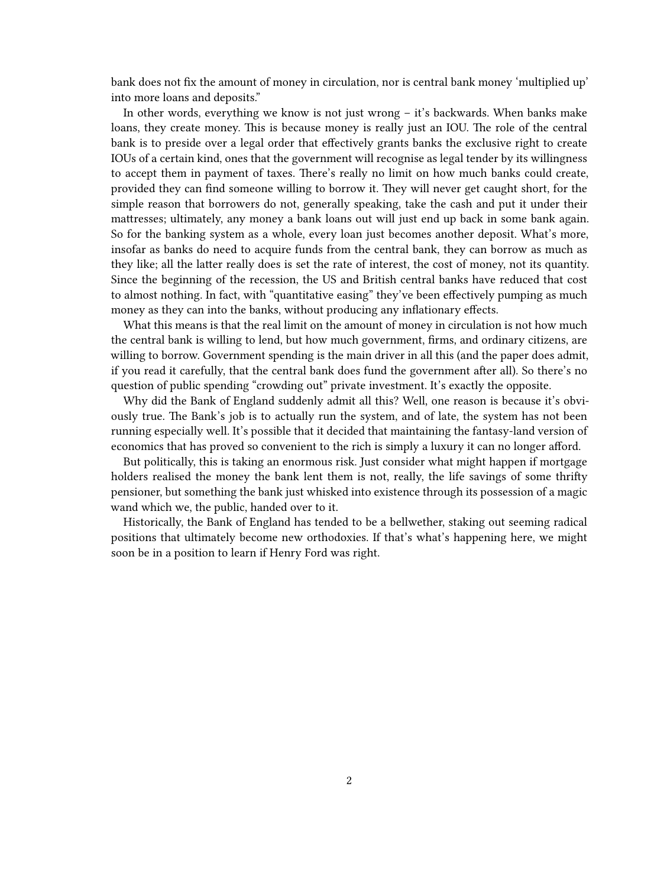bank does not fix the amount of money in circulation, nor is central bank money 'multiplied up' into more loans and deposits."

In other words, everything we know is not just wrong – it's backwards. When banks make loans, they create money. This is because money is really just an IOU. The role of the central bank is to preside over a legal order that effectively grants banks the exclusive right to create IOUs of a certain kind, ones that the government will recognise as legal tender by its willingness to accept them in payment of taxes. There's really no limit on how much banks could create, provided they can find someone willing to borrow it. They will never get caught short, for the simple reason that borrowers do not, generally speaking, take the cash and put it under their mattresses; ultimately, any money a bank loans out will just end up back in some bank again. So for the banking system as a whole, every loan just becomes another deposit. What's more, insofar as banks do need to acquire funds from the central bank, they can borrow as much as they like; all the latter really does is set the rate of interest, the cost of money, not its quantity. Since the beginning of the recession, the US and British central banks have reduced that cost to almost nothing. In fact, with "quantitative easing" they've been effectively pumping as much money as they can into the banks, without producing any inflationary effects.

What this means is that the real limit on the amount of money in circulation is not how much the central bank is willing to lend, but how much government, firms, and ordinary citizens, are willing to borrow. Government spending is the main driver in all this (and the paper does admit, if you read it carefully, that the central bank does fund the government after all). So there's no question of public spending "crowding out" private investment. It's exactly the opposite.

Why did the Bank of England suddenly admit all this? Well, one reason is because it's obviously true. The Bank's job is to actually run the system, and of late, the system has not been running especially well. It's possible that it decided that maintaining the fantasy-land version of economics that has proved so convenient to the rich is simply a luxury it can no longer afford.

But politically, this is taking an enormous risk. Just consider what might happen if mortgage holders realised the money the bank lent them is not, really, the life savings of some thrifty pensioner, but something the bank just whisked into existence through its possession of a magic wand which we, the public, handed over to it.

Historically, the Bank of England has tended to be a bellwether, staking out seeming radical positions that ultimately become new orthodoxies. If that's what's happening here, we might soon be in a position to learn if Henry Ford was right.